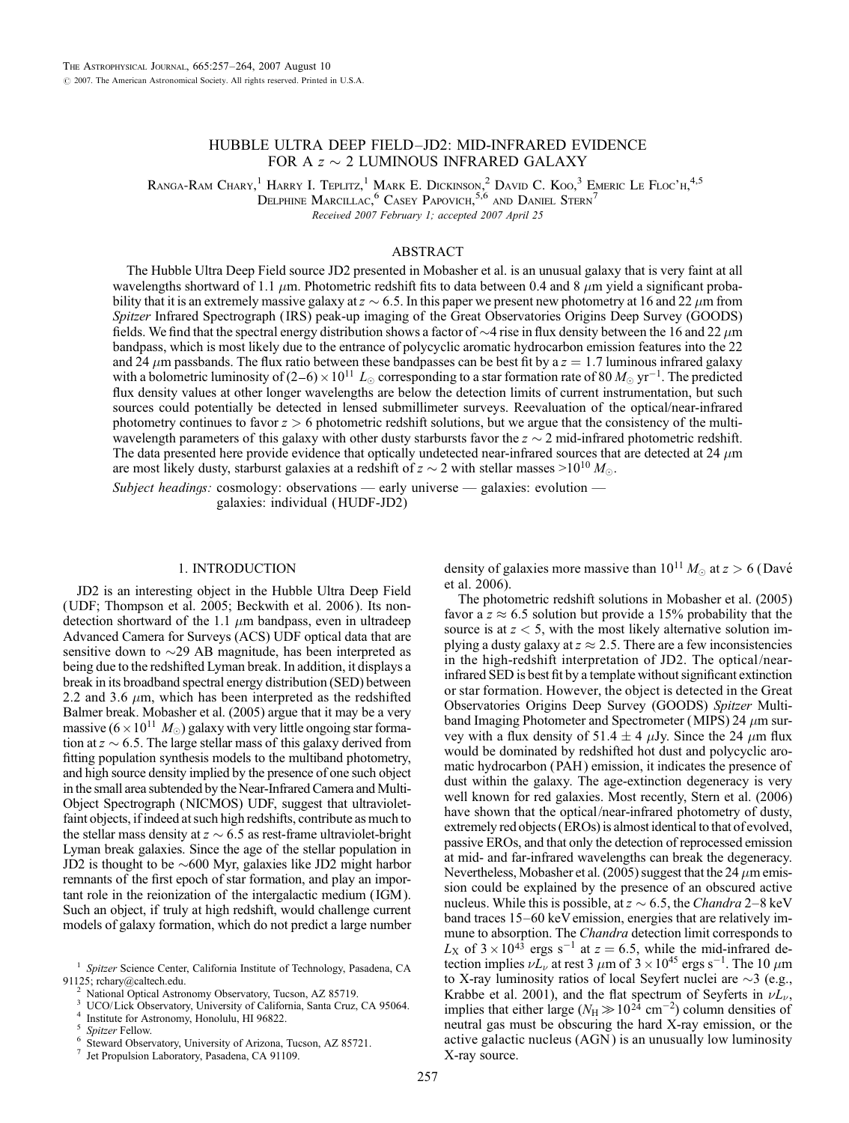# HUBBLE ULTRA DEEP FIELD–JD2: MID-INFRARED EVIDENCE FOR A  $z \sim 2$  LUMINOUS INFRARED GALAXY

Ranga-Ram Chary,<sup>1</sup> Harry I. Teplitz,<sup>1</sup> Mark E. Dickinson,<sup>2</sup> David C. Koo,<sup>3</sup> Emeric Le Floc'h,<sup>4,5</sup>

Delphine Marcillac, $^6$  Casey Papovich,  $^{5,6}$  and Daniel Stern $^7$ 

Received 2007 February 1; accepted 2007 April 25

# ABSTRACT

The Hubble Ultra Deep Field source JD2 presented in Mobasher et al. is an unusual galaxy that is very faint at all wavelengths shortward of 1.1  $\mu$ m. Photometric redshift fits to data between 0.4 and 8  $\mu$ m yield a significant probability that it is an extremely massive galaxy at  $z \sim 6.5$ . In this paper we present new photometry at 16 and 22  $\mu$ m from Spitzer Infrared Spectrograph (IRS) peak-up imaging of the Great Observatories Origins Deep Survey (GOODS) fields. We find that the spectral energy distribution shows a factor of  $\sim$ 4 rise in flux density between the 16 and 22  $\mu$ m bandpass, which is most likely due to the entrance of polycyclic aromatic hydrocarbon emission features into the 22 and 24  $\mu$ m passbands. The flux ratio between these bandpasses can be best fit by a  $z = 1.7$  luminous infrared galaxy with a bolometric luminosity of  $(2-6) \times 10^{11} L_{\odot}$  corresponding to a star formation rate of 80  $M_{\odot}$  yr<sup>-1</sup>. The predicted flux density values at other longer wavelengths are below the detection limits of current instrumentation, but such sources could potentially be detected in lensed submillimeter surveys. Reevaluation of the optical/near-infrared photometry continues to favor  $z > 6$  photometric redshift solutions, but we argue that the consistency of the multiwavelength parameters of this galaxy with other dusty starbursts favor the  $z \sim 2$  mid-infrared photometric redshift. The data presented here provide evidence that optically undetected near-infrared sources that are detected at 24  $\mu$ m are most likely dusty, starburst galaxies at a redshift of  $z \sim 2$  with stellar masses  $>$ 10<sup>10</sup>  $M_{\odot}$ .

Subject headings: cosmology: observations — early universe — galaxies: evolution galaxies: individual (HUDF-JD2)

## 1. INTRODUCTION

JD2 is an interesting object in the Hubble Ultra Deep Field (UDF; Thompson et al. 2005; Beckwith et al. 2006 ). Its nondetection shortward of the 1.1  $\mu$ m bandpass, even in ultradeep Advanced Camera for Surveys (ACS) UDF optical data that are sensitive down to  $\sim$ 29 AB magnitude, has been interpreted as being due to the redshifted Lyman break. In addition, it displays a break in its broadband spectral energy distribution (SED) between 2.2 and 3.6  $\mu$ m, which has been interpreted as the redshifted Balmer break. Mobasher et al. (2005) argue that it may be a very massive ( $6 \times 10^{11}~M_{\odot}$ ) galaxy with very little ongoing star formation at  $z \sim 6.5$ . The large stellar mass of this galaxy derived from fitting population synthesis models to the multiband photometry, and high source density implied by the presence of one such object in the small area subtended by the Near-Infrared Camera and Multi-Object Spectrograph (NICMOS) UDF, suggest that ultravioletfaint objects, if indeed at such high redshifts, contribute as much to the stellar mass density at  $z \sim 6.5$  as rest-frame ultraviolet-bright Lyman break galaxies. Since the age of the stellar population in JD2 is thought to be  $\sim$  600 Myr, galaxies like JD2 might harbor remnants of the first epoch of star formation, and play an important role in the reionization of the intergalactic medium ( IGM ). Such an object, if truly at high redshift, would challenge current models of galaxy formation, which do not predict a large number

density of galaxies more massive than  $10^{11} M_{\odot}$  at  $z > 6$  (Davé et al. 2006).

The photometric redshift solutions in Mobasher et al. (2005) favor a  $z \approx 6.5$  solution but provide a 15% probability that the source is at  $z < 5$ , with the most likely alternative solution implying a dusty galaxy at  $z \approx 2.5$ . There are a few inconsistencies in the high-redshift interpretation of JD2. The optical/nearinfrared SED is best fit by a template without significant extinction or star formation. However, the object is detected in the Great Observatories Origins Deep Survey (GOODS) Spitzer Multiband Imaging Photometer and Spectrometer (MIPS) 24  $\mu$ m survey with a flux density of 51.4  $\pm$  4  $\mu$ Jy. Since the 24  $\mu$ m flux would be dominated by redshifted hot dust and polycyclic aromatic hydrocarbon (PAH ) emission, it indicates the presence of dust within the galaxy. The age-extinction degeneracy is very well known for red galaxies. Most recently, Stern et al. (2006) have shown that the optical/near-infrared photometry of dusty, extremely red objects (EROs) is almost identical to that of evolved, passive EROs, and that only the detection of reprocessed emission at mid- and far-infrared wavelengths can break the degeneracy. Nevertheless, Mobasher et al. (2005) suggest that the 24  $\mu$ m emission could be explained by the presence of an obscured active nucleus. While this is possible, at  $z \sim 6.5$ , the Chandra 2–8 keV band traces 15–60 keV emission, energies that are relatively immune to absorption. The Chandra detection limit corresponds to  $L_X$  of  $3 \times 10^{43}$  ergs s<sup>-1</sup> at  $z = 6.5$ , while the mid-infrared detection implies  $\nu L_{\nu}$  at rest 3  $\mu$ m of 3  $\times 10^{45}$  ergs s<sup>-1</sup>. The 10  $\mu$ m to X-ray luminosity ratios of local Seyfert nuclei are  $\sim$ 3 (e.g., Krabbe et al. 2001), and the flat spectrum of Seyferts in  $\nu L_{\nu}$ , implies that either large ( $N_H \gg 10^{24}$  cm<sup>-2</sup>) column densities of neutral gas must be obscuring the hard X-ray emission, or the active galactic nucleus (AGN ) is an unusually low luminosity X-ray source.

<sup>&</sup>lt;sup>1</sup> Spitzer Science Center, California Institute of Technology, Pasadena, CA 91125; rchary@caltech.edu.

National Optical Astronomy Observatory, Tucson, AZ 85719.<br>UCO/Lick Observatory, University of California, Santa Cruz, CA 95064.<br>Institute for Astronomy, Honolulu, HI 96822.<br>Spitzer Fellow.<br>Steward Observatory, University o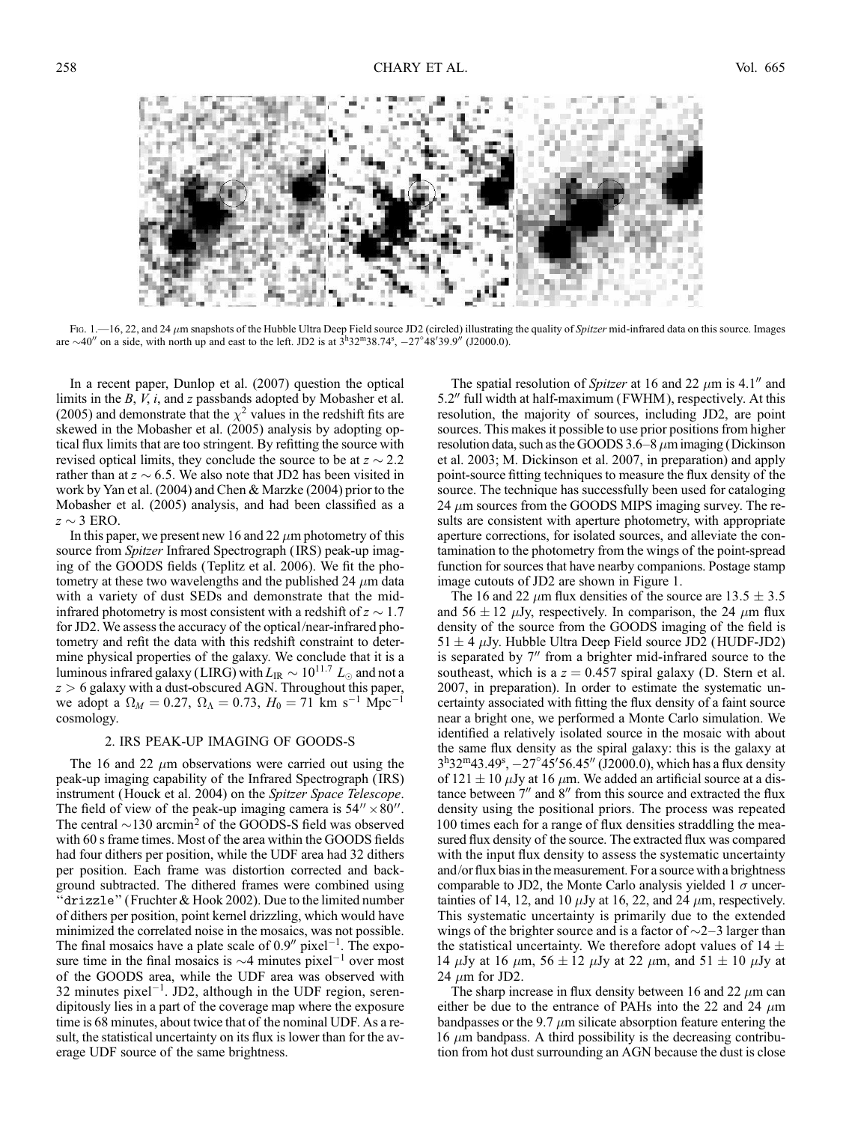

Fig. 1.—16, 22, and 24  $\mu$ m snapshots of the Hubble Ultra Deep Field source JD2 (circled) illustrating the quality of Spitzer mid-infrared data on this source. Images are  $\sim$ 40" on a side, with north up and east to the left. JD2 is at  $3^h32^m38.74^s$ ,  $-27^\circ48'39.9''$  (J2000.0).

In a recent paper, Dunlop et al. (2007) question the optical limits in the  $B$ ,  $V$ ,  $i$ , and  $z$  passbands adopted by Mobasher et al. (2005) and demonstrate that the  $\chi^2$  values in the redshift fits are skewed in the Mobasher et al. (2005) analysis by adopting optical flux limits that are too stringent. By refitting the source with revised optical limits, they conclude the source to be at  $z \sim 2.2$ rather than at  $z \sim 6.5$ . We also note that JD2 has been visited in work by Yan et al. (2004) and Chen & Marzke (2004) prior to the Mobasher et al. (2005) analysis, and had been classified as a  $z \sim 3$  ERO.

In this paper, we present new 16 and 22  $\mu$ m photometry of this source from Spitzer Infrared Spectrograph (IRS) peak-up imaging of the GOODS fields (Teplitz et al. 2006). We fit the photometry at these two wavelengths and the published 24  $\mu$ m data with a variety of dust SEDs and demonstrate that the midinfrared photometry is most consistent with a redshift of  $z \sim 1.7$ for JD2. We assess the accuracy of the optical/near-infrared photometry and refit the data with this redshift constraint to determine physical properties of the galaxy. We conclude that it is a luminous infrared galaxy (LIRG) with  $L_{\rm IR} \sim 10^{11.7}~L_{\odot}$  and not a  $z > 6$  galaxy with a dust-obscured AGN. Throughout this paper, we adopt a  $\Omega_M = 0.27$ ,  $\Omega_{\Lambda} = 0.73$ ,  $H_0 = 71$  km s<sup>-1</sup> Mpc<sup>-1</sup> cosmology.

### 2. IRS PEAK-UP IMAGING OF GOODS-S

The 16 and 22  $\mu$ m observations were carried out using the peak-up imaging capability of the Infrared Spectrograph ( IRS) instrument (Houck et al. 2004) on the Spitzer Space Telescope. The field of view of the peak-up imaging camera is  $54'' \times 80''$ . The central  $\sim$ 130 arcmin<sup>2</sup> of the GOODS-S field was observed with 60 s frame times. Most of the area within the GOODS fields had four dithers per position, while the UDF area had 32 dithers per position. Each frame was distortion corrected and background subtracted. The dithered frames were combined using ''drizzle'' (Fruchter & Hook 2002). Due to the limited number of dithers per position, point kernel drizzling, which would have minimized the correlated noise in the mosaics, was not possible. The final mosaics have a plate scale of  $0.9''$  pixel<sup>-1</sup>. The exposure time in the final mosaics is  $\sim$ 4 minutes pixel<sup>-1</sup> over most of the GOODS area, while the UDF area was observed with 32 minutes pixel<sup>-1</sup>. JD2, although in the UDF region, serendipitously lies in a part of the coverage map where the exposure time is 68 minutes, about twice that of the nominal UDF. As a result, the statistical uncertainty on its flux is lower than for the average UDF source of the same brightness.

The spatial resolution of Spitzer at 16 and 22  $\mu$ m is 4.1<sup>*n*</sup> and  $5.2$ " full width at half-maximum (FWHM), respectively. At this resolution, the majority of sources, including JD2, are point sources. This makes it possible to use prior positions from higher resolution data, such as the GOODS  $3.6-8 \mu m$  imaging (Dickinson et al. 2003; M. Dickinson et al. 2007, in preparation) and apply point-source fitting techniques to measure the flux density of the source. The technique has successfully been used for cataloging 24  $\mu$ m sources from the GOODS MIPS imaging survey. The results are consistent with aperture photometry, with appropriate aperture corrections, for isolated sources, and alleviate the contamination to the photometry from the wings of the point-spread function for sources that have nearby companions. Postage stamp image cutouts of JD2 are shown in Figure 1.

The 16 and 22  $\mu$ m flux densities of the source are 13.5  $\pm$  3.5 and 56  $\pm$  12  $\mu$ Jy, respectively. In comparison, the 24  $\mu$ m flux density of the source from the GOODS imaging of the field is  $51 \pm 4 \mu$ Jy. Hubble Ultra Deep Field source JD2 (HUDF-JD2) is separated by  $7<sup>′</sup>$  from a brighter mid-infrared source to the southeast, which is a  $z = 0.457$  spiral galaxy (D. Stern et al. 2007, in preparation). In order to estimate the systematic uncertainty associated with fitting the flux density of a faint source near a bright one, we performed a Monte Carlo simulation. We identified a relatively isolated source in the mosaic with about the same flux density as the spiral galaxy: this is the galaxy at  $3^{\text{h}}32^{\text{m}}43.49^{\text{s}}$ ,  $-27^{\circ}45'56.45''$  (J2000.0), which has a flux density of 121  $\pm$  10  $\mu$ Jy at 16  $\mu$ m. We added an artificial source at a distance between  $7<sup>′</sup>$  and  $8<sup>′′</sup>$  from this source and extracted the flux density using the positional priors. The process was repeated 100 times each for a range of flux densities straddling the measured flux density of the source. The extracted flux was compared with the input flux density to assess the systematic uncertainty and/or flux bias in the measurement. For a source with a brightness comparable to JD2, the Monte Carlo analysis yielded 1  $\sigma$  uncertainties of 14, 12, and 10  $\mu$ Jy at 16, 22, and 24  $\mu$ m, respectively. This systematic uncertainty is primarily due to the extended wings of the brighter source and is a factor of  $\sim$ 2–3 larger than the statistical uncertainty. We therefore adopt values of  $14 \pm$ 14  $\mu$ Jy at 16  $\mu$ m, 56  $\pm$  12  $\mu$ Jy at 22  $\mu$ m, and 51  $\pm$  10  $\mu$ Jy at 24  $\mu$ m for JD2.

The sharp increase in flux density between 16 and 22  $\mu$ m can either be due to the entrance of PAHs into the 22 and 24  $\mu$ m bandpasses or the 9.7  $\mu$ m silicate absorption feature entering the 16  $\mu$ m bandpass. A third possibility is the decreasing contribution from hot dust surrounding an AGN because the dust is close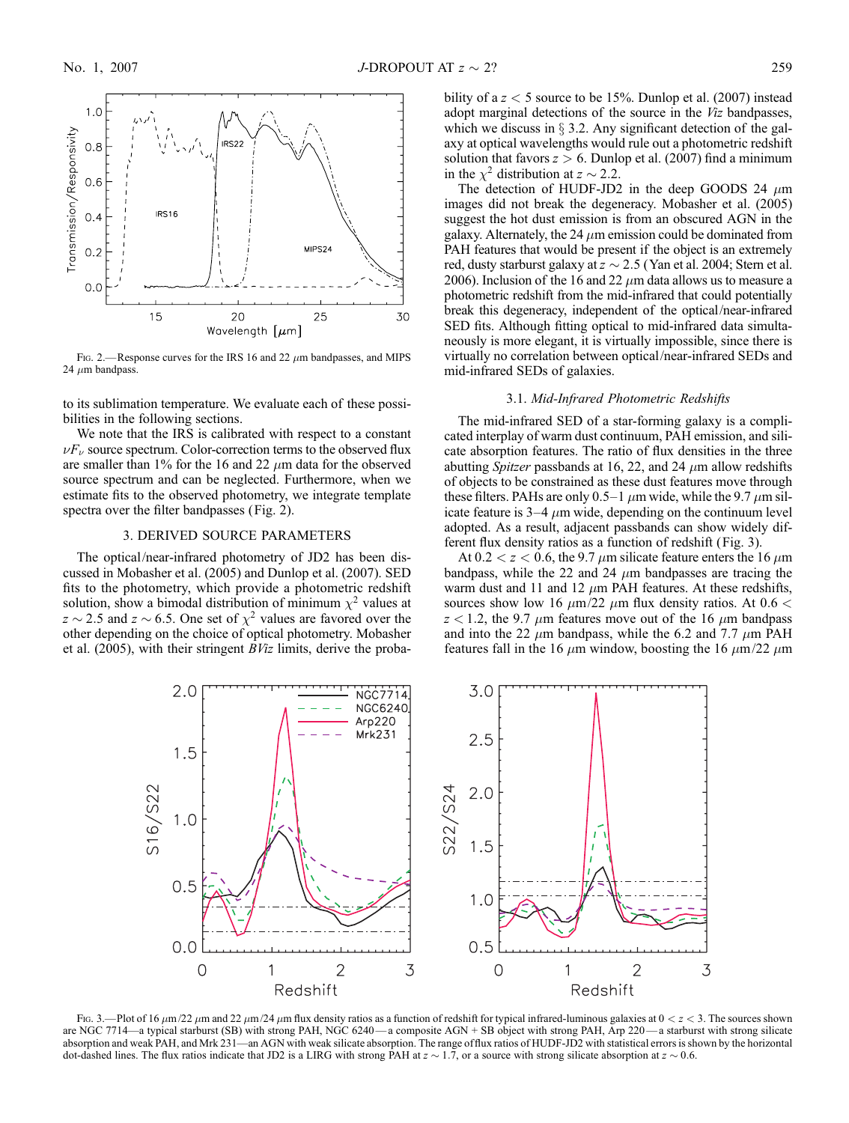

FIG. 2.—Response curves for the IRS 16 and 22  $\mu$ m bandpasses, and MIPS 24  $\mu$ m bandpass.

to its sublimation temperature. We evaluate each of these possibilities in the following sections.

We note that the IRS is calibrated with respect to a constant  $\nu F_{\nu}$  source spectrum. Color-correction terms to the observed flux are smaller than 1% for the 16 and 22  $\mu$ m data for the observed source spectrum and can be neglected. Furthermore, when we estimate fits to the observed photometry, we integrate template spectra over the filter bandpasses (Fig. 2).

### 3. DERIVED SOURCE PARAMETERS

The optical/near-infrared photometry of JD2 has been discussed in Mobasher et al. (2005) and Dunlop et al. (2007). SED fits to the photometry, which provide a photometric redshift solution, show a bimodal distribution of minimum  $\chi^2$  values at  $z \sim 2.5$  and  $z \sim 6.5$ . One set of  $\chi^2$  values are favored over the other depending on the choice of optical photometry. Mobasher et al.  $(2005)$ , with their stringent  $BViz$  limits, derive the probability of a  $z < 5$  source to be 15%. Dunlop et al. (2007) instead adopt marginal detections of the source in the Viz bandpasses, which we discuss in  $\S$  3.2. Any significant detection of the galaxy at optical wavelengths would rule out a photometric redshift solution that favors  $z > 6$ . Dunlop et al. (2007) find a minimum in the  $\chi^2$  distribution at  $z \sim 2.2$ .

The detection of HUDF-JD2 in the deep GOODS 24  $\mu$ m images did not break the degeneracy. Mobasher et al. (2005) suggest the hot dust emission is from an obscured AGN in the galaxy. Alternately, the 24  $\mu$ m emission could be dominated from PAH features that would be present if the object is an extremely red, dusty starburst galaxy at  $z \sim 2.5$  (Yan et al. 2004; Stern et al. 2006). Inclusion of the 16 and 22  $\mu$ m data allows us to measure a photometric redshift from the mid-infrared that could potentially break this degeneracy, independent of the optical/near-infrared SED fits. Although fitting optical to mid-infrared data simultaneously is more elegant, it is virtually impossible, since there is virtually no correlation between optical/near-infrared SEDs and mid-infrared SEDs of galaxies.

# 3.1. Mid-Infrared Photometric Redshifts

The mid-infrared SED of a star-forming galaxy is a complicated interplay of warm dust continuum, PAH emission, and silicate absorption features. The ratio of flux densities in the three abutting *Spitzer* passbands at 16, 22, and 24  $\mu$ m allow redshifts of objects to be constrained as these dust features move through these filters. PAHs are only 0.5–1  $\mu$ m wide, while the 9.7  $\mu$ m silicate feature is  $3-4 \mu m$  wide, depending on the continuum level adopted. As a result, adjacent passbands can show widely different flux density ratios as a function of redshift (Fig. 3).

At  $0.2 < z < 0.6$ , the 9.7  $\mu$ m silicate feature enters the 16  $\mu$ m bandpass, while the 22 and 24  $\mu$ m bandpasses are tracing the warm dust and 11 and 12  $\mu$ m PAH features. At these redshifts, sources show low 16  $\mu$ m/22  $\mu$ m flux density ratios. At 0.6 <  $z$  < 1.2, the 9.7  $\mu$ m features move out of the 16  $\mu$ m bandpass and into the 22  $\mu$ m bandpass, while the 6.2 and 7.7  $\mu$ m PAH features fall in the 16  $\mu$ m window, boosting the 16  $\mu$ m/22  $\mu$ m



Fig. 3.—Plot of 16  $\mu$ m/22  $\mu$ m and 22  $\mu$ m/24  $\mu$ m flux density ratios as a function of redshift for typical infrared-luminous galaxies at  $0 < z < 3$ . The sources shown are NGC 7714—a typical starburst (SB) with strong PAH, NGC 6240— a composite AGN + SB object with strong PAH, Arp 220— a starburst with strong silicate absorption and weak PAH, and Mrk 231—an AGN with weak silicate absorption. The range of flux ratios of HUDF-JD2 with statistical errors is shown by the horizontal dot-dashed lines. The flux ratios indicate that JD2 is a LIRG with strong PAH at  $z \sim 1.7$ , or a source with strong silicate absorption at  $z \sim 0.6$ .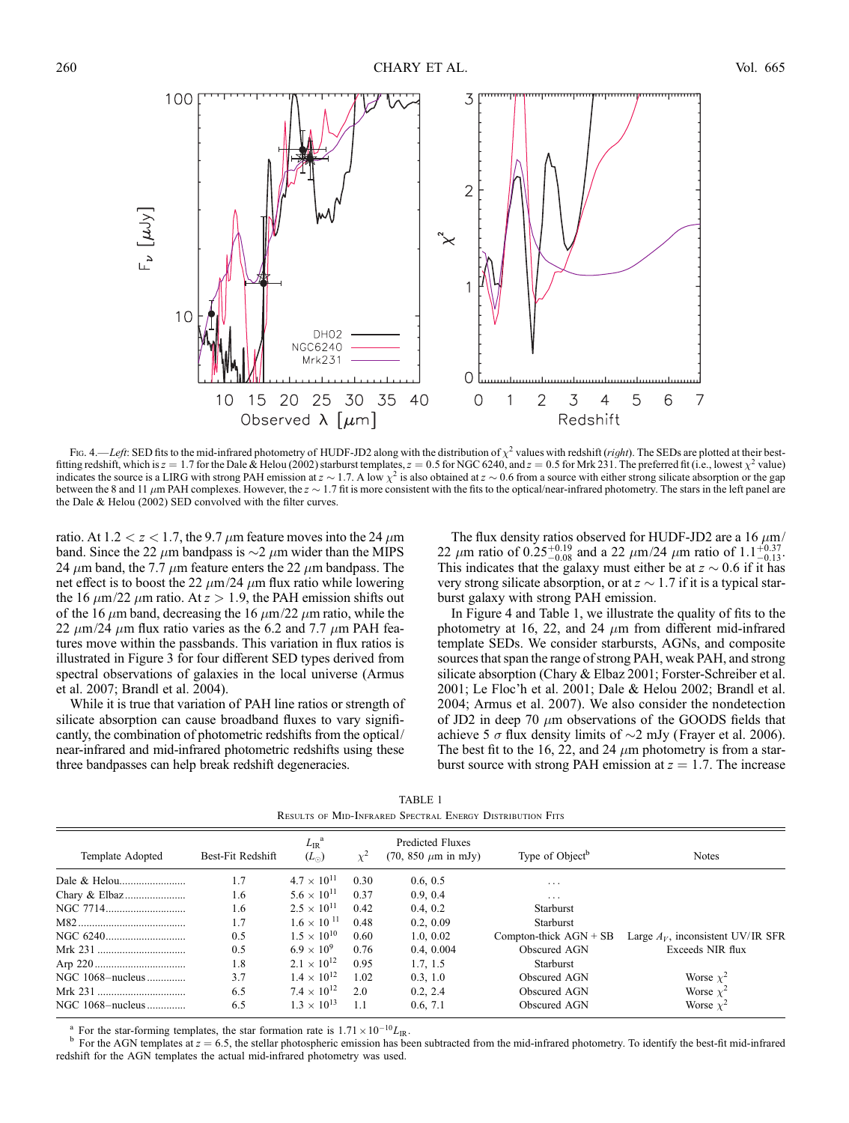

Fig. 4.—Left: SED fits to the mid-infrared photometry of HUDF-JD2 along with the distribution of  $\chi^2$  values with redshift (*right*). The SEDs are plotted at their bestfitting redshift, which is  $z = 1.7$  for the Dale & Helou (2002) starburst templates,  $z = 0.5$  for NGC 6240, and  $z = 0.5$  for Mrk 231. The preferred fit (i.e., lowest  $\chi^2$  value) indicates the source is a LIRG with strong PAH emission at  $z \sim 1.7$ . A low  $\chi^2$  is also obtained at  $z \sim 0.6$  from a source with either strong silicate absorption or the gap between the 8 and 11  $\mu$ m PAH complexes. However, the  $z \sim 1.7$  fit is more consistent with the fits to the optical/near-infrared photometry. The stars in the left panel are the Dale & Helou (2002) SED convolved with the filter curves.

ratio. At 1.2  $\lt z \lt 1.7$ , the 9.7  $\mu$ m feature moves into the 24  $\mu$ m band. Since the 22  $\mu$ m bandpass is  $\sim$ 2  $\mu$ m wider than the MIPS 24  $\mu$ m band, the 7.7  $\mu$ m feature enters the 22  $\mu$ m bandpass. The net effect is to boost the 22  $\mu$ m/24  $\mu$ m flux ratio while lowering the 16  $\mu$ m/22  $\mu$ m ratio. At  $z > 1.9$ , the PAH emission shifts out of the 16  $\mu$ m band, decreasing the 16  $\mu$ m/22  $\mu$ m ratio, while the 22  $\mu$ m/24  $\mu$ m flux ratio varies as the 6.2 and 7.7  $\mu$ m PAH features move within the passbands. This variation in flux ratios is illustrated in Figure 3 for four different SED types derived from spectral observations of galaxies in the local universe (Armus et al. 2007; Brandl et al. 2004).

While it is true that variation of PAH line ratios or strength of silicate absorption can cause broadband fluxes to vary significantly, the combination of photometric redshifts from the optical/ near-infrared and mid-infrared photometric redshifts using these three bandpasses can help break redshift degeneracies.

The flux density ratios observed for HUDF-JD2 are a 16  $\mu$ m/ 22  $\mu$ m ratio of 0.25<sup>+0.19</sup> and a 22  $\mu$ m/24  $\mu$ m ratio of 1.1<sup>+0.37</sup> -0.13. This indicates that the galaxy must either be at  $z \sim 0.6$  if it has very strong silicate absorption, or at  $z \sim 1.7$  if it is a typical starburst galaxy with strong PAH emission.

In Figure 4 and Table 1, we illustrate the quality of fits to the photometry at 16, 22, and 24  $\mu$ m from different mid-infrared template SEDs. We consider starbursts, AGNs, and composite sources that span the range of strong PAH, weak PAH, and strong silicate absorption (Chary & Elbaz 2001; Forster-Schreiber et al. 2001; Le Floc'h et al. 2001; Dale & Helou 2002; Brandl et al. 2004; Armus et al. 2007). We also consider the nondetection of JD2 in deep 70  $\mu$ m observations of the GOODS fields that achieve 5  $\sigma$  flux density limits of  $\sim$ 2 mJy (Frayer et al. 2006). The best fit to the 16, 22, and 24  $\mu$ m photometry is from a starburst source with strong PAH emission at  $z = 1.7$ . The increase

TABLE 1 Results of Mid-Infrared Spectral Energy Distribution Fits

| Template Adopted | Best-Fit Redshift | $L_{\rm IR}$ <sup>a</sup><br>$(L_{\odot})$ | $\chi^2$ | Predicted Fluxes<br>$(70, 850 \mu m \text{ in mJy})$ | Type of Object <sup>b</sup> | <b>Notes</b>                         |
|------------------|-------------------|--------------------------------------------|----------|------------------------------------------------------|-----------------------------|--------------------------------------|
|                  | 1.7               | $4.7 \times 10^{11}$                       | 0.30     | 0.6, 0.5                                             | .                           |                                      |
|                  | 1.6               | $5.6 \times 10^{11}$                       | 0.37     | 0.9, 0.4                                             | .                           |                                      |
|                  | 1.6               | $2.5 \times 10^{11}$                       | 0.42     | 0.4.0.2                                              | <b>Starburst</b>            |                                      |
|                  | 1.7               | $1.6 \times 10^{11}$                       | 0.48     | 0.2, 0.09                                            | Starburst                   |                                      |
|                  | 0.5               | $1.5 \times 10^{10}$                       | 0.60     | 1.0.0.02                                             | Compton-thick $AGN + SB$    | Large $A_V$ , inconsistent UV/IR SFR |
|                  | 0.5               | $6.9 \times 10^{9}$                        | 0.76     | 0.4, 0.004                                           | Obscured AGN                | Exceeds NIR flux                     |
|                  | 1.8               | $2.1 \times 10^{12}$                       | 0.95     | 1.7, 1.5                                             | Starburst                   |                                      |
| NGC 1068-nucleus | 3.7               | $1.4 \times 10^{12}$                       | 1.02     | 0.3, 1.0                                             | Obscured AGN                | Worse $\chi^2$                       |
|                  | 6.5               | $7.4 \times 10^{12}$                       | 2.0      | 0.2, 2.4                                             | Obscured AGN                | Worse $\chi^2$                       |
| NGC 1068-nucleus | 6.5               | $1.3 \times 10^{13}$                       | 1.1      | 0.6, 7.1                                             | Obscured AGN                | Worse $\chi^2$                       |

<sup>a</sup> For the star-forming templates, the star formation rate is  $1.71 \times 10^{-10} L_{IR}$ .<br><sup>b</sup> For the AGN templates at  $z = 6.5$ , the stellar photospheric emission has been subtracted from the mid-infrared photometry. To identif redshift for the AGN templates the actual mid-infrared photometry was used.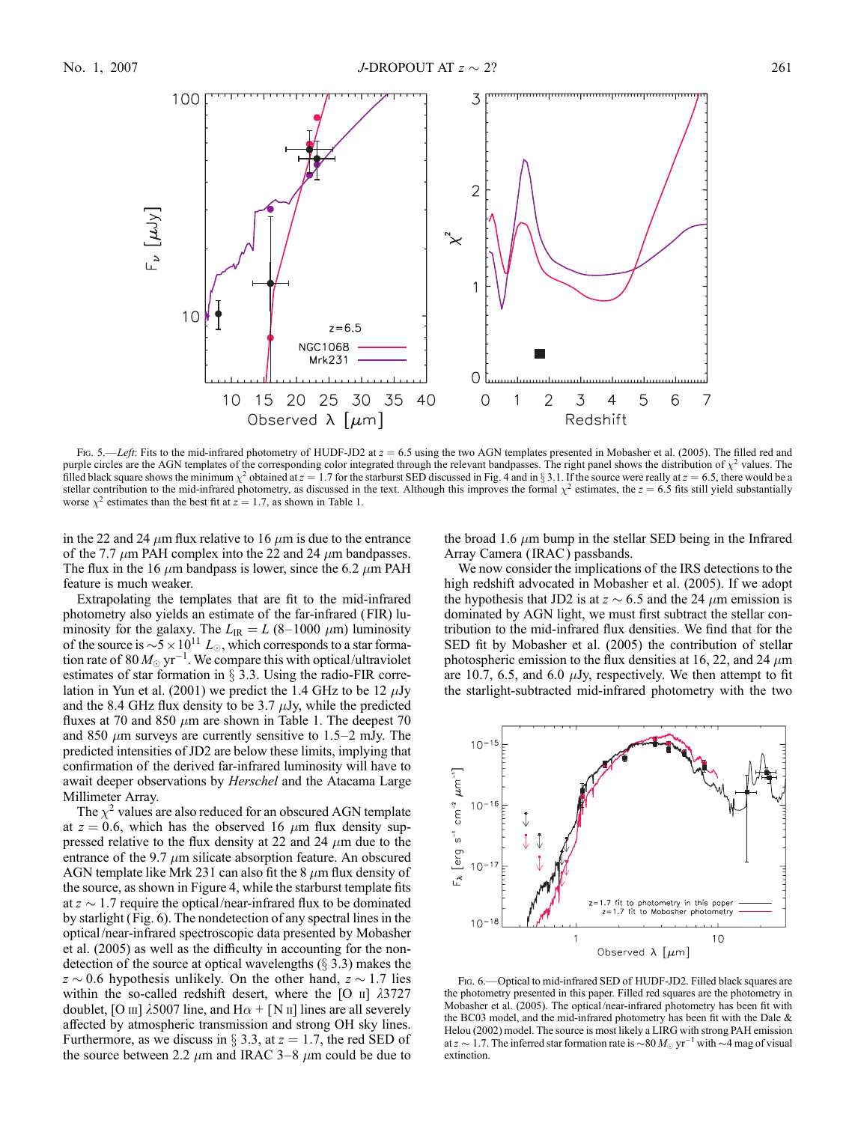

Fig. 5.—Left: Fits to the mid-infrared photometry of HUDF-JD2 at  $z = 6.5$  using the two AGN templates presented in Mobasher et al. (2005). The filled red and purple circles are the AGN templates of the corresponding color integrated through the relevant bandpasses. The right panel shows the distribution of  $\chi^2$  values. The filled black square shows the minimum  $\chi^2$  obtained at  $z = 1.7$  for the starburst SED discussed in Fig. 4 and in § 3.1. If the source were really at  $z = 6.5$ , there would be a stellar contribution to the mid-infrared photometry, as discussed in the text. Although this improves the formal  $\chi^2$  estimates, the  $z = 6.5$  fits still yield substantially worse  $\chi^2$  estimates than the best fit at  $z = 1.7$ , as shown in Table 1.

in the 22 and 24  $\mu$ m flux relative to 16  $\mu$ m is due to the entrance of the 7.7  $\mu$ m PAH complex into the 22 and 24  $\mu$ m bandpasses. The flux in the 16  $\mu$ m bandpass is lower, since the 6.2  $\mu$ m PAH feature is much weaker.

Extrapolating the templates that are fit to the mid-infrared photometry also yields an estimate of the far-infrared (FIR) luminosity for the galaxy. The  $L_{IR} = L (8-1000 \mu m)$  luminosity of the source is  $\sim 5 \times 10^{11} L_{\odot}$ , which corresponds to a star formation rate of 80  $M_{\odot}$  yr<sup>-1</sup>. We compare this with optical/ultraviolet estimates of star formation in  $\S$  3.3. Using the radio-FIR correlation in Yun et al. (2001) we predict the 1.4 GHz to be 12  $\mu$ Jy and the 8.4 GHz flux density to be 3.7  $\mu$ Jy, while the predicted fluxes at 70 and 850  $\mu$ m are shown in Table 1. The deepest 70 and 850  $\mu$ m surveys are currently sensitive to 1.5–2 mJy. The predicted intensities of JD2 are below these limits, implying that confirmation of the derived far-infrared luminosity will have to await deeper observations by Herschel and the Atacama Large Millimeter Array.

The  $\chi^2$  values are also reduced for an obscured AGN template at  $z = 0.6$ , which has the observed 16  $\mu$ m flux density suppressed relative to the flux density at 22 and 24  $\mu$ m due to the entrance of the 9.7  $\mu$ m silicate absorption feature. An obscured AGN template like Mrk 231 can also fit the 8  $\mu$ m flux density of the source, as shown in Figure 4, while the starburst template fits at  $z \sim 1.7$  require the optical/near-infrared flux to be dominated by starlight (Fig. 6). The nondetection of any spectral lines in the optical/near-infrared spectroscopic data presented by Mobasher et al. (2005) as well as the difficulty in accounting for the nondetection of the source at optical wavelengths  $(\S 3.3)$  makes the  $z \sim 0.6$  hypothesis unlikely. On the other hand,  $z \sim 1.7$  lies within the so-called redshift desert, where the [O  $\text{II}$ ]  $\lambda$ 3727 doublet, [O  $\text{III}$ ]  $\lambda$ 5007 line, and H $\alpha$  + [N  $\text{II}$ ] lines are all severely affected by atmospheric transmission and strong OH sky lines. Furthermore, as we discuss in  $\S$  3.3, at  $z = 1.7$ , the red SED of the source between 2.2  $\mu$ m and IRAC 3–8  $\mu$ m could be due to the broad 1.6  $\mu$ m bump in the stellar SED being in the Infrared Array Camera ( IRAC ) passbands.

We now consider the implications of the IRS detections to the high redshift advocated in Mobasher et al. (2005). If we adopt the hypothesis that JD2 is at  $z \sim 6.5$  and the 24  $\mu$ m emission is dominated by AGN light, we must first subtract the stellar contribution to the mid-infrared flux densities. We find that for the SED fit by Mobasher et al. (2005) the contribution of stellar photospheric emission to the flux densities at 16, 22, and 24  $\mu$ m are 10.7, 6.5, and 6.0  $\mu$ Jy, respectively. We then attempt to fit the starlight-subtracted mid-infrared photometry with the two



Fig. 6.—Optical to mid-infrared SED of HUDF-JD2. Filled black squares are the photometry presented in this paper. Filled red squares are the photometry in Mobasher et al. (2005). The optical/near-infrared photometry has been fit with the BC03 model, and the mid-infrared photometry has been fit with the Dale & Helou (2002) model. The source is most likely a LIRG with strong PAH emission at  $z\sim 1.7$ . The inferred star formation rate is  ${\sim}80\,M_\odot\, {\rm yr}^{-1}$  with  ${\sim}4$  mag of visual extinction.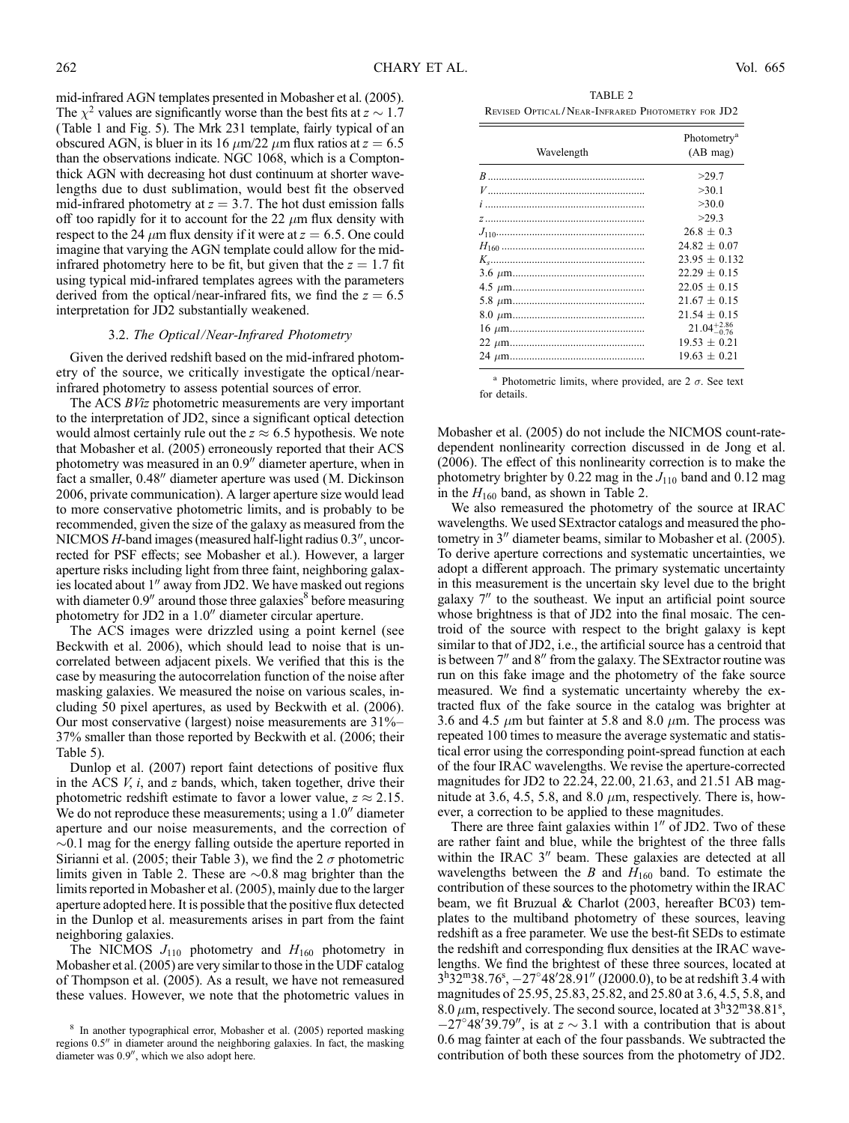mid-infrared AGN templates presented in Mobasher et al. (2005). The  $\chi^2$  values are significantly worse than the best fits at  $z \sim 1.7$ (Table 1 and Fig. 5). The Mrk 231 template, fairly typical of an obscured AGN, is bluer in its 16  $\mu$ m/22  $\mu$ m flux ratios at  $z = 6.5$ than the observations indicate. NGC 1068, which is a Comptonthick AGN with decreasing hot dust continuum at shorter wavelengths due to dust sublimation, would best fit the observed mid-infrared photometry at  $z = 3.7$ . The hot dust emission falls off too rapidly for it to account for the 22  $\mu$ m flux density with respect to the 24  $\mu$ m flux density if it were at  $z = 6.5$ . One could imagine that varying the AGN template could allow for the midinfrared photometry here to be fit, but given that the  $z = 1.7$  fit using typical mid-infrared templates agrees with the parameters derived from the optical/near-infrared fits, we find the  $z = 6.5$ interpretation for JD2 substantially weakened.

#### 3.2. The Optical/Near-Infrared Photometry

Given the derived redshift based on the mid-infrared photometry of the source, we critically investigate the optical/nearinfrared photometry to assess potential sources of error.

The ACS BViz photometric measurements are very important to the interpretation of JD2, since a significant optical detection would almost certainly rule out the  $z \approx 6.5$  hypothesis. We note that Mobasher et al. (2005) erroneously reported that their ACS photometry was measured in an  $0.9$ <sup>"</sup> diameter aperture, when in fact a smaller, 0.48" diameter aperture was used (M. Dickinson 2006, private communication). A larger aperture size would lead to more conservative photometric limits, and is probably to be recommended, given the size of the galaxy as measured from the  $NICMOS H$ -band images (measured half-light radius  $0.3$ ", uncorrected for PSF effects; see Mobasher et al.). However, a larger aperture risks including light from three faint, neighboring galaxies located about 1" away from JD2. We have masked out regions with diameter  $0.9$ <sup>"</sup> around those three galaxies<sup>8</sup> before measuring photometry for JD2 in a  $1.0$ <sup>"</sup> diameter circular aperture.

The ACS images were drizzled using a point kernel (see Beckwith et al. 2006), which should lead to noise that is uncorrelated between adjacent pixels. We verified that this is the case by measuring the autocorrelation function of the noise after masking galaxies. We measured the noise on various scales, including 50 pixel apertures, as used by Beckwith et al. (2006). Our most conservative (largest) noise measurements are 31%– 37% smaller than those reported by Beckwith et al. (2006; their Table 5).

Dunlop et al. (2007) report faint detections of positive flux in the ACS  $V$ ,  $i$ , and  $z$  bands, which, taken together, drive their photometric redshift estimate to favor a lower value,  $z \approx 2.15$ . We do not reproduce these measurements; using a  $1.0$ <sup>"</sup> diameter aperture and our noise measurements, and the correction of  $\sim$ 0.1 mag for the energy falling outside the aperture reported in Sirianni et al. (2005; their Table 3), we find the 2  $\sigma$  photometric limits given in Table 2. These are  $\sim 0.8$  mag brighter than the limits reported in Mobasher et al. (2005), mainly due to the larger aperture adopted here. It is possible that the positive flux detected in the Dunlop et al. measurements arises in part from the faint neighboring galaxies.

The NICMOS  $J_{110}$  photometry and  $H_{160}$  photometry in Mobasher et al. (2005) are very similar to those in the UDF catalog of Thompson et al. (2005). As a result, we have not remeasured these values. However, we note that the photometric values in

| TABLE 2                                          |  |  |
|--------------------------------------------------|--|--|
| Revised Optical/Near-Infrared Photometry for JD2 |  |  |

| Wavelength | Photometry <sup>a</sup><br>(AB mag) |
|------------|-------------------------------------|
|            | >29.7                               |
|            | >30.1                               |
|            | >30.0                               |
|            | >29.3                               |
|            | $26.8 + 0.3$                        |
|            | $24.82 + 0.07$                      |
|            | $23.95 + 0.132$                     |
|            | $22.29 + 0.15$                      |
|            | $22.05 + 0.15$                      |
|            | $21.67 + 0.15$                      |
|            | $21.54 \pm 0.15$                    |
|            | $21.04_{-0.76}^{+2.86}$             |
|            | $19.53 + 0.21$                      |
|            | $19.63 + 0.21$                      |
|            |                                     |

<sup>a</sup> Photometric limits, where provided, are  $2 \sigma$ . See text for details.

Mobasher et al. (2005) do not include the NICMOS count-ratedependent nonlinearity correction discussed in de Jong et al. (2006). The effect of this nonlinearity correction is to make the photometry brighter by 0.22 mag in the  $J_{110}$  band and 0.12 mag in the  $H_{160}$  band, as shown in Table 2.

We also remeasured the photometry of the source at IRAC wavelengths. We used SExtractor catalogs and measured the photometry in  $3<sup>′′</sup>$  diameter beams, similar to Mobasher et al. (2005). To derive aperture corrections and systematic uncertainties, we adopt a different approach. The primary systematic uncertainty in this measurement is the uncertain sky level due to the bright galaxy  $7''$  to the southeast. We input an artificial point source whose brightness is that of JD2 into the final mosaic. The centroid of the source with respect to the bright galaxy is kept similar to that of JD2, i.e., the artificial source has a centroid that is between  $7<sup>′</sup>$  and  $8<sup>′′</sup>$  from the galaxy. The SExtractor routine was run on this fake image and the photometry of the fake source measured. We find a systematic uncertainty whereby the extracted flux of the fake source in the catalog was brighter at 3.6 and 4.5  $\mu$ m but fainter at 5.8 and 8.0  $\mu$ m. The process was repeated 100 times to measure the average systematic and statistical error using the corresponding point-spread function at each of the four IRAC wavelengths. We revise the aperture-corrected magnitudes for JD2 to 22.24, 22.00, 21.63, and 21.51 AB magnitude at 3.6, 4.5, 5.8, and 8.0  $\mu$ m, respectively. There is, however, a correction to be applied to these magnitudes.

There are three faint galaxies within  $1<sup>0</sup>$  of JD2. Two of these are rather faint and blue, while the brightest of the three falls within the IRAC  $3''$  beam. These galaxies are detected at all wavelengths between the B and  $H_{160}$  band. To estimate the contribution of these sources to the photometry within the IRAC beam, we fit Bruzual & Charlot (2003, hereafter BC03) templates to the multiband photometry of these sources, leaving redshift as a free parameter. We use the best-fit SEDs to estimate the redshift and corresponding flux densities at the IRAC wavelengths. We find the brightest of these three sources, located at  $3^{\text{h}}32^{\text{m}}38.76^{\text{s}}$ ,  $-27^{\circ}48'28.91''$  (J2000.0), to be at redshift 3.4 with magnitudes of 25.95, 25.83, 25.82, and 25.80 at 3.6, 4.5, 5.8, and 8.0  $\mu$ m, respectively. The second source, located at  $3^{\text{h}}32^{\text{m}}38.81^{\text{s}}$ ,  $-27^{\circ}48'39.79''$ , is at  $z \sim 3.1$  with a contribution that is about 0.6 mag fainter at each of the four passbands. We subtracted the contribution of both these sources from the photometry of JD2.

<sup>8</sup> In another typographical error, Mobasher et al. (2005) reported masking regions  $0.5$ <sup> $\prime\prime$ </sup> in diameter around the neighboring galaxies. In fact, the masking diameter was  $0.9''$ , which we also adopt here.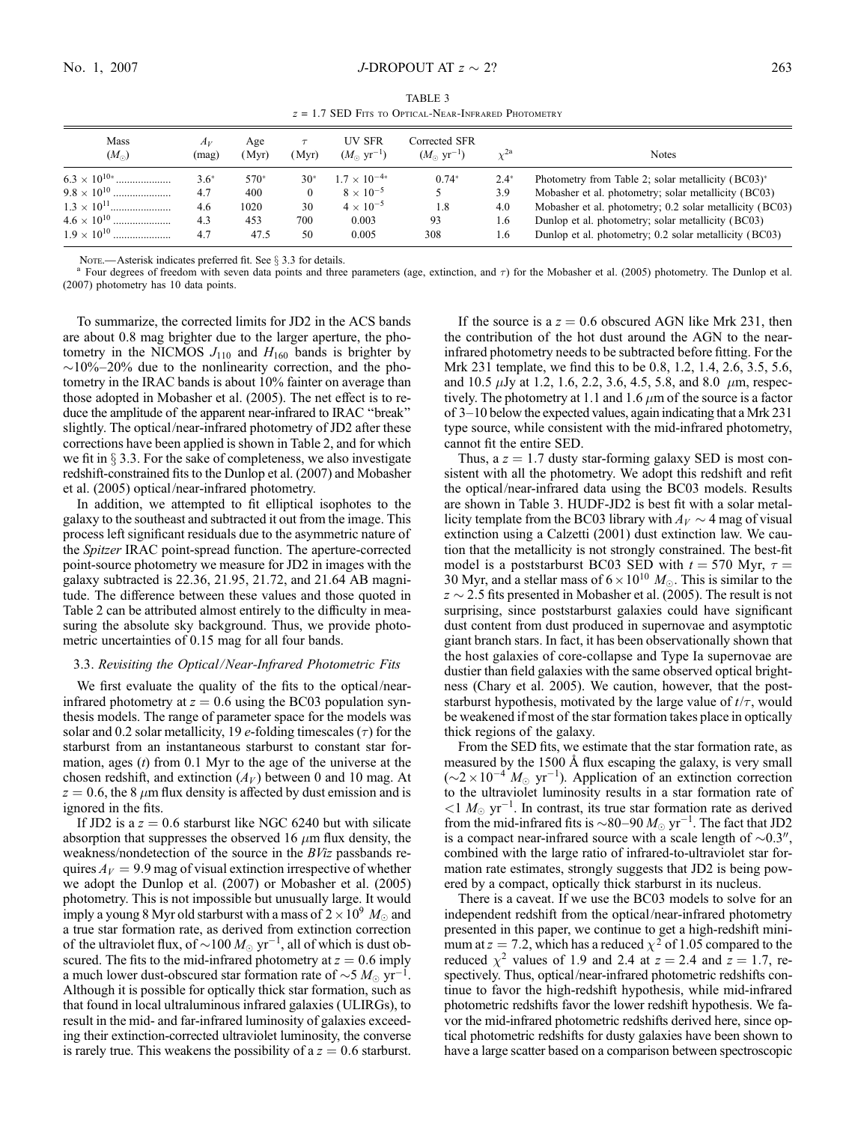TABLE 3  $z = 1.7$  SED Fits to Optical-Near-Infrared Photometry

| Mass<br>$(M_{\odot})$ | $A_V$<br>(mag) | Age<br>(Myr) | (Myr)    | UV SFR<br>$(M_{\odot} \text{ yr}^{-1})$ | Corrected SFR<br>$(M_{\odot} \text{ yr}^{-1})$ |        | <b>Notes</b>                                             |
|-----------------------|----------------|--------------|----------|-----------------------------------------|------------------------------------------------|--------|----------------------------------------------------------|
|                       | $3.6*$         | 570*         | $30*$    | $1.7 \times 10^{-4*}$                   | $0.74*$                                        | $2.4*$ | Photometry from Table 2; solar metallicity (BC03)*       |
|                       | 4.7            | 400          | $\theta$ | $8 \times 10^{-5}$                      |                                                | 3.9    | Mobasher et al. photometry; solar metallicity (BC03)     |
|                       | 4.6            | 1020         | 30       | $4 \times 10^{-5}$                      | 1.8                                            | 4.0    | Mobasher et al. photometry; 0.2 solar metallicity (BC03) |
| $4.6 \times 10^{10}$  | 4.3            | 453          | 700      | 0.003                                   | 93                                             | 1.6    | Dunlop et al. photometry; solar metallicity (BC03)       |
| $1.9 \times 10^{10}$  | 4.7            | 47.5         | 50       | 0.005                                   | 308                                            | 1.6    | Dunlop et al. photometry; 0.2 solar metallicity (BC03)   |

Nore.—Asterisk indicates preferred fit. See § 3.3 for details.<br><sup>a</sup> Four degrees of freedom with seven data points and three parameters (age, extinction, and  $\tau$ ) for the Mobasher et al. (2005) photometry. The Dunlop et a (2007) photometry has 10 data points.

To summarize, the corrected limits for JD2 in the ACS bands are about 0.8 mag brighter due to the larger aperture, the photometry in the NICMOS  $J_{110}$  and  $H_{160}$  bands is brighter by  $\sim$ 10%–20% due to the nonlinearity correction, and the photometry in the IRAC bands is about 10% fainter on average than those adopted in Mobasher et al. (2005). The net effect is to reduce the amplitude of the apparent near-infrared to IRAC ''break'' slightly. The optical/near-infrared photometry of JD2 after these corrections have been applied is shown in Table 2, and for which we fit in  $\S 3.3$ . For the sake of completeness, we also investigate redshift-constrained fits to the Dunlop et al. (2007) and Mobasher et al. (2005) optical/near-infrared photometry.

In addition, we attempted to fit elliptical isophotes to the galaxy to the southeast and subtracted it out from the image. This process left significant residuals due to the asymmetric nature of the Spitzer IRAC point-spread function. The aperture-corrected point-source photometry we measure for JD2 in images with the galaxy subtracted is 22.36, 21.95, 21.72, and 21.64 AB magnitude. The difference between these values and those quoted in Table 2 can be attributed almost entirely to the difficulty in measuring the absolute sky background. Thus, we provide photometric uncertainties of 0.15 mag for all four bands.

#### 3.3. Revisiting the Optical/Near-Infrared Photometric Fits

We first evaluate the quality of the fits to the optical/nearinfrared photometry at  $z = 0.6$  using the BC03 population synthesis models. The range of parameter space for the models was solar and 0.2 solar metallicity, 19  $e$ -folding timescales ( $\tau$ ) for the starburst from an instantaneous starburst to constant star formation, ages  $(t)$  from 0.1 Myr to the age of the universe at the chosen redshift, and extinction  $(A_V)$  between 0 and 10 mag. At  $z = 0.6$ , the 8  $\mu$ m flux density is affected by dust emission and is ignored in the fits.

If JD2 is a  $z = 0.6$  starburst like NGC 6240 but with silicate absorption that suppresses the observed 16  $\mu$ m flux density, the weakness/nondetection of the source in the BViz passbands requires  $A_V = 9.9$  mag of visual extinction irrespective of whether we adopt the Dunlop et al. (2007) or Mobasher et al. (2005) photometry. This is not impossible but unusually large. It would imply a young 8 Myr old starburst with a mass of  $2\times 10^9\ M_\odot$  and a true star formation rate, as derived from extinction correction of the ultraviolet flux, of  $\sim$ 100  $M_{\odot}$  yr $^{-1}$ , all of which is dust obscured. The fits to the mid-infrared photometry at  $z = 0.6$  imply a much lower dust-obscured star formation rate of  $\sim$ 5  $M_{\odot}$  yr<sup>-1</sup>. Although it is possible for optically thick star formation, such as that found in local ultraluminous infrared galaxies (ULIRGs), to result in the mid- and far-infrared luminosity of galaxies exceeding their extinction-corrected ultraviolet luminosity, the converse is rarely true. This weakens the possibility of a  $z = 0.6$  starburst.

If the source is a  $z = 0.6$  obscured AGN like Mrk 231, then the contribution of the hot dust around the AGN to the nearinfrared photometry needs to be subtracted before fitting. For the Mrk 231 template, we find this to be 0.8, 1.2, 1.4, 2.6, 3.5, 5.6, and 10.5  $\mu$ Jy at 1.2, 1.6, 2.2, 3.6, 4.5, 5.8, and 8.0  $\mu$ m, respectively. The photometry at 1.1 and 1.6  $\mu$ m of the source is a factor of 3–10 below the expected values, again indicating that a Mrk 231 type source, while consistent with the mid-infrared photometry, cannot fit the entire SED.

Thus, a  $z = 1.7$  dusty star-forming galaxy SED is most consistent with all the photometry. We adopt this redshift and refit the optical/near-infrared data using the BC03 models. Results are shown in Table 3. HUDF-JD2 is best fit with a solar metallicity template from the BC03 library with  $A_V \sim 4$  mag of visual extinction using a Calzetti (2001) dust extinction law. We caution that the metallicity is not strongly constrained. The best-fit model is a poststarburst BC03 SED with  $t = 570$  Myr,  $\tau =$ 30 Myr, and a stellar mass of  $6 \times 10^{10}$   $M_{\odot}$ . This is similar to the  $z \sim 2.5$  fits presented in Mobasher et al. (2005). The result is not surprising, since poststarburst galaxies could have significant dust content from dust produced in supernovae and asymptotic giant branch stars. In fact, it has been observationally shown that the host galaxies of core-collapse and Type Ia supernovae are dustier than field galaxies with the same observed optical brightness (Chary et al. 2005). We caution, however, that the poststarburst hypothesis, motivated by the large value of  $t/\tau$ , would be weakened if most of the star formation takes place in optically thick regions of the galaxy.

From the SED fits, we estimate that the star formation rate, as measured by the 1500  $\AA$  flux escaping the galaxy, is very small  $({\sim}2 \times 10^{-4} M_{\odot} \text{ yr}^{-1})$ . Application of an extinction correction to the ultraviolet luminosity results in a star formation rate of  $\langle 1 \, M_{\odot} \, \text{yr}^{-1}$ . In contrast, its true star formation rate as derived from the mid-infrared fits is  $\sim$ 80–90  $M_{\odot}$  yr<sup>-1</sup>. The fact that JD2 is a compact near-infrared source with a scale length of  $\sim 0.3$ ", combined with the large ratio of infrared-to-ultraviolet star formation rate estimates, strongly suggests that JD2 is being powered by a compact, optically thick starburst in its nucleus.

There is a caveat. If we use the BC03 models to solve for an independent redshift from the optical/near-infrared photometry presented in this paper, we continue to get a high-redshift minimum at  $z = 7.2$ , which has a reduced  $\chi^2$  of 1.05 compared to the reduced  $\chi^2$  values of 1.9 and 2.4 at  $z = 2.4$  and  $z = 1.7$ , respectively. Thus, optical/near-infrared photometric redshifts continue to favor the high-redshift hypothesis, while mid-infrared photometric redshifts favor the lower redshift hypothesis. We favor the mid-infrared photometric redshifts derived here, since optical photometric redshifts for dusty galaxies have been shown to have a large scatter based on a comparison between spectroscopic